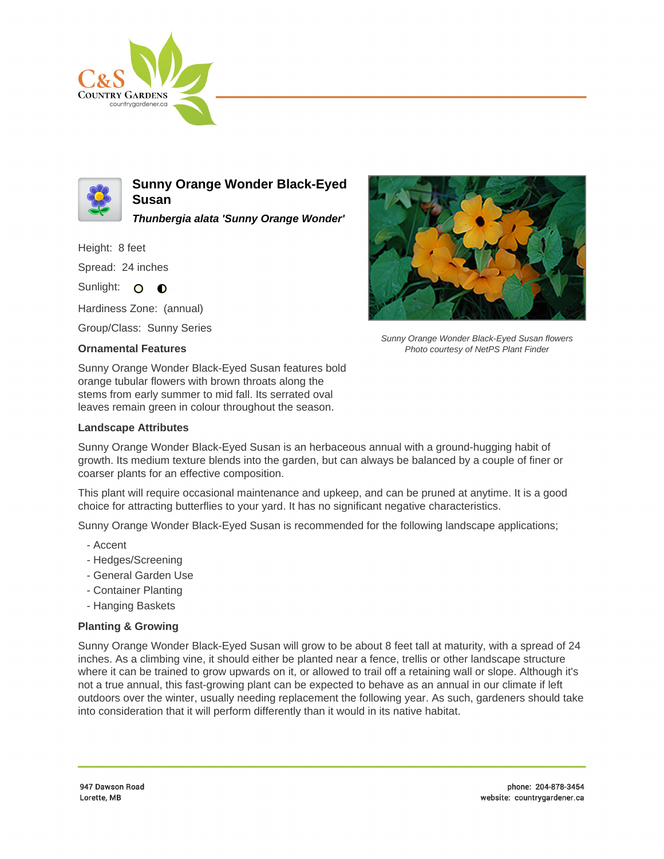



**Sunny Orange Wonder Black-Eyed Susan**

**Thunbergia alata 'Sunny Orange Wonder'**

Height: 8 feet Spread: 24 inches

Sunlight: O **O** 

Hardiness Zone: (annual)

Group/Class: Sunny Series

## **Ornamental Features**

Sunny Orange Wonder Black-Eyed Susan features bold orange tubular flowers with brown throats along the stems from early summer to mid fall. Its serrated oval leaves remain green in colour throughout the season.

## **Landscape Attributes**



Sunny Orange Wonder Black-Eyed Susan flowers Photo courtesy of NetPS Plant Finder

Sunny Orange Wonder Black-Eyed Susan is an herbaceous annual with a ground-hugging habit of growth. Its medium texture blends into the garden, but can always be balanced by a couple of finer or coarser plants for an effective composition.

This plant will require occasional maintenance and upkeep, and can be pruned at anytime. It is a good choice for attracting butterflies to your yard. It has no significant negative characteristics.

Sunny Orange Wonder Black-Eyed Susan is recommended for the following landscape applications;

- Accent
- Hedges/Screening
- General Garden Use
- Container Planting
- Hanging Baskets

## **Planting & Growing**

Sunny Orange Wonder Black-Eyed Susan will grow to be about 8 feet tall at maturity, with a spread of 24 inches. As a climbing vine, it should either be planted near a fence, trellis or other landscape structure where it can be trained to grow upwards on it, or allowed to trail off a retaining wall or slope. Although it's not a true annual, this fast-growing plant can be expected to behave as an annual in our climate if left outdoors over the winter, usually needing replacement the following year. As such, gardeners should take into consideration that it will perform differently than it would in its native habitat.